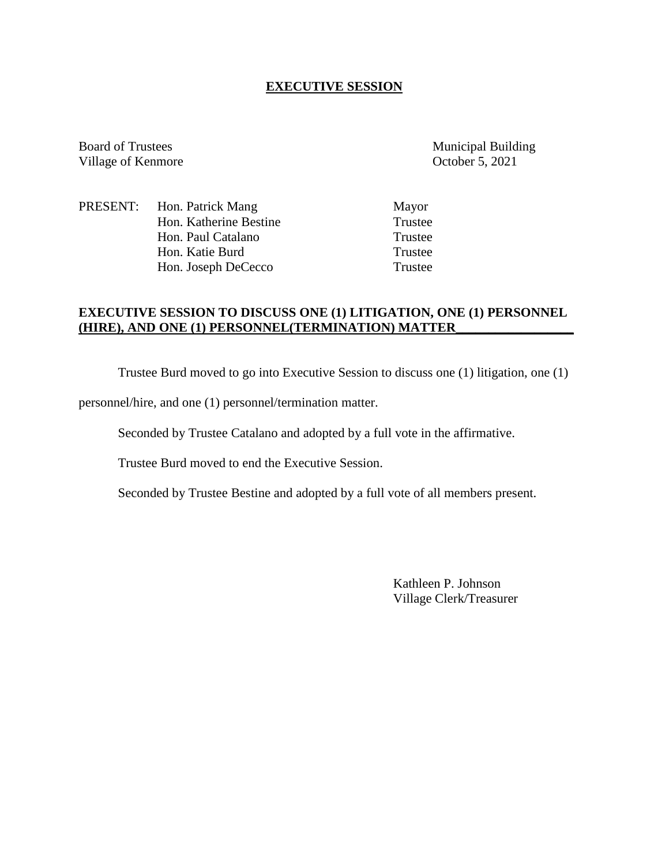# **EXECUTIVE SESSION**

Board of Trustees Municipal Building Village of Kenmore October 5, 2021

PRESENT: Hon. Patrick Mang Mayor Hon. Katherine Bestine Trustee<br>
Hon. Paul Catalano<br>
Trustee Hon. Paul Catalano Hon. Katie Burd Trustee Hon. Joseph DeCecco Trustee

# **EXECUTIVE SESSION TO DISCUSS ONE (1) LITIGATION, ONE (1) PERSONNEL (HIRE), AND ONE (1) PERSONNEL(TERMINATION) MATTER\_\_\_\_\_\_\_\_\_\_\_\_\_\_\_\_\_\_**

Trustee Burd moved to go into Executive Session to discuss one (1) litigation, one (1)

personnel/hire, and one (1) personnel/termination matter.

Seconded by Trustee Catalano and adopted by a full vote in the affirmative.

Trustee Burd moved to end the Executive Session.

Seconded by Trustee Bestine and adopted by a full vote of all members present.

Kathleen P. Johnson Village Clerk/Treasurer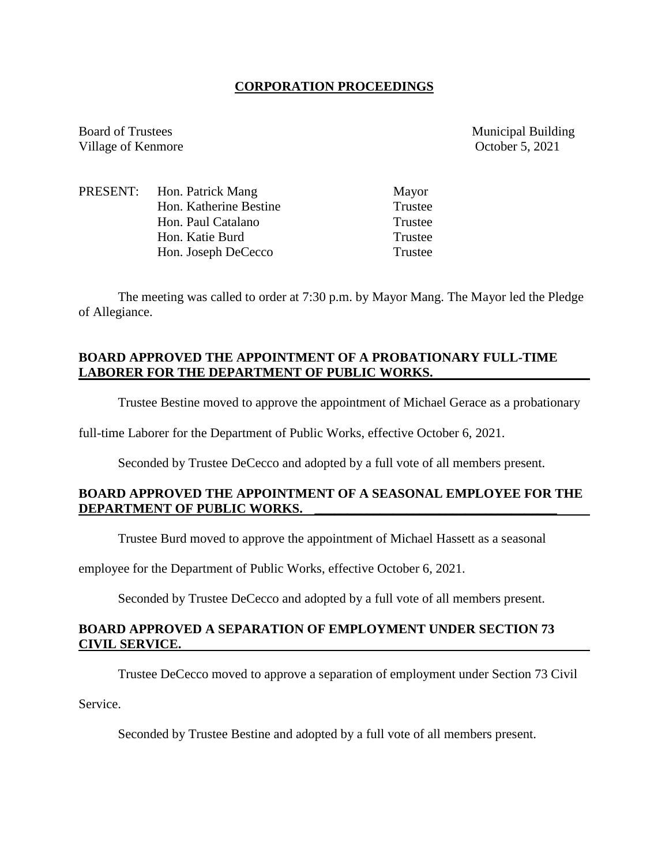#### **CORPORATION PROCEEDINGS**

Board of Trustees Municipal Building Village of Kenmore October 5, 2021

|  | PRESENT: Hon. Patrick Mang | Mayor   |
|--|----------------------------|---------|
|  | Hon. Katherine Bestine     | Trustee |
|  | Hon. Paul Catalano         | Trustee |
|  | Hon. Katie Burd            | Trustee |
|  | Hon. Joseph DeCecco        | Trustee |

The meeting was called to order at 7:30 p.m. by Mayor Mang. The Mayor led the Pledge of Allegiance.

# **BOARD APPROVED THE APPOINTMENT OF A PROBATIONARY FULL-TIME LABORER FOR THE DEPARTMENT OF PUBLIC WORKS.**

Trustee Bestine moved to approve the appointment of Michael Gerace as a probationary

full-time Laborer for the Department of Public Works, effective October 6, 2021.

Seconded by Trustee DeCecco and adopted by a full vote of all members present.

# **BOARD APPROVED THE APPOINTMENT OF A SEASONAL EMPLOYEE FOR THE DEPARTMENT OF PUBLIC WORKS. \_\_\_\_\_\_\_\_\_\_\_\_\_\_\_\_\_\_\_\_\_\_\_\_\_\_\_\_\_\_\_\_\_\_\_\_\_**

Trustee Burd moved to approve the appointment of Michael Hassett as a seasonal

employee for the Department of Public Works, effective October 6, 2021.

Seconded by Trustee DeCecco and adopted by a full vote of all members present.

# **BOARD APPROVED A SEPARATION OF EMPLOYMENT UNDER SECTION 73 CIVIL SERVICE.**

Trustee DeCecco moved to approve a separation of employment under Section 73 Civil

Service.

Seconded by Trustee Bestine and adopted by a full vote of all members present.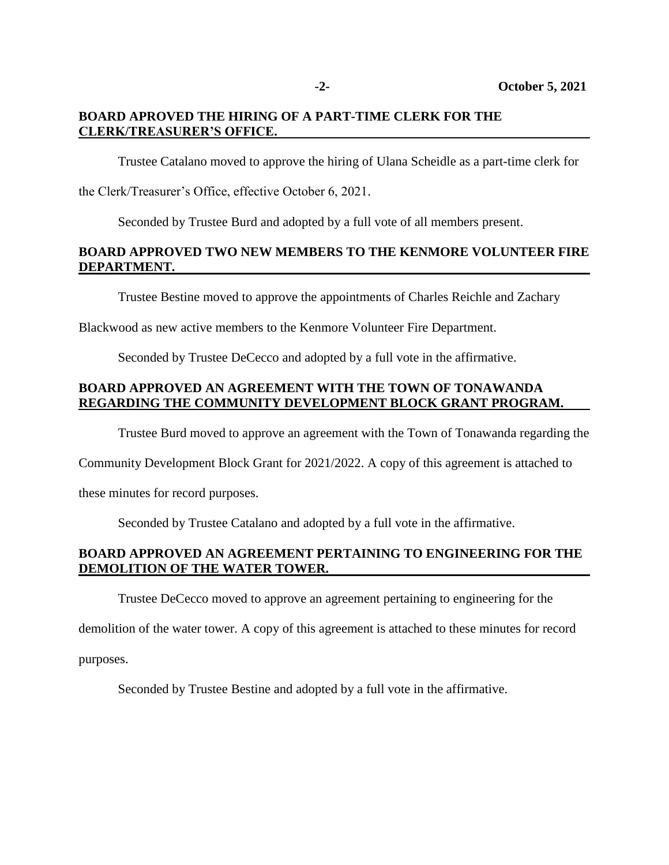# **BOARD APROVED THE HIRING OF A PART-TIME CLERK FOR THE CLERK/TREASURER'S OFFICE.**

Trustee Catalano moved to approve the hiring of Ulana Scheidle as a part-time clerk for

the Clerk/Treasurer's Office, effective October 6, 2021.

Seconded by Trustee Burd and adopted by a full vote of all members present.

# **BOARD APPROVED TWO NEW MEMBERS TO THE KENMORE VOLUNTEER FIRE DEPARTMENT.**

Trustee Bestine moved to approve the appointments of Charles Reichle and Zachary

Blackwood as new active members to the Kenmore Volunteer Fire Department.

Seconded by Trustee DeCecco and adopted by a full vote in the affirmative.

# **BOARD APPROVED AN AGREEMENT WITH THE TOWN OF TONAWANDA REGARDING THE COMMUNITY DEVELOPMENT BLOCK GRANT PROGRAM.**

Trustee Burd moved to approve an agreement with the Town of Tonawanda regarding the

Community Development Block Grant for 2021/2022. A copy of this agreement is attached to

these minutes for record purposes.

Seconded by Trustee Catalano and adopted by a full vote in the affirmative.

# **BOARD APPROVED AN AGREEMENT PERTAINING TO ENGINEERING FOR THE DEMOLITION OF THE WATER TOWER.**

Trustee DeCecco moved to approve an agreement pertaining to engineering for the

demolition of the water tower. A copy of this agreement is attached to these minutes for record

purposes.

Seconded by Trustee Bestine and adopted by a full vote in the affirmative.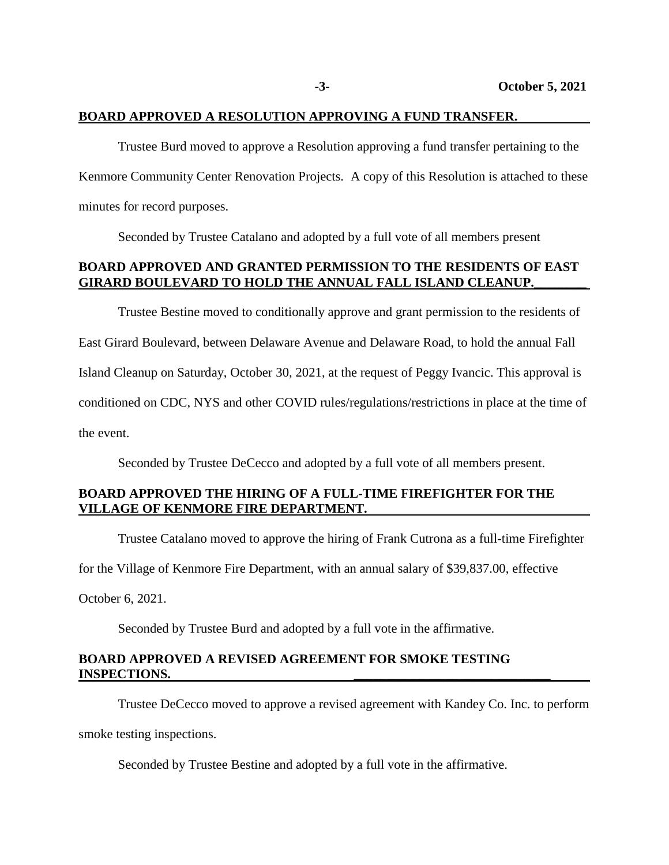#### **BOARD APPROVED A RESOLUTION APPROVING A FUND TRANSFER.**

Trustee Burd moved to approve a Resolution approving a fund transfer pertaining to the Kenmore Community Center Renovation Projects. A copy of this Resolution is attached to these minutes for record purposes.

Seconded by Trustee Catalano and adopted by a full vote of all members present

#### **BOARD APPROVED AND GRANTED PERMISSION TO THE RESIDENTS OF EAST GIRARD BOULEVARD TO HOLD THE ANNUAL FALL ISLAND CLEANUP.\_\_\_\_\_\_\_\_**

Trustee Bestine moved to conditionally approve and grant permission to the residents of East Girard Boulevard, between Delaware Avenue and Delaware Road, to hold the annual Fall Island Cleanup on Saturday, October 30, 2021, at the request of Peggy Ivancic. This approval is conditioned on CDC, NYS and other COVID rules/regulations/restrictions in place at the time of the event.

Seconded by Trustee DeCecco and adopted by a full vote of all members present.

### **BOARD APPROVED THE HIRING OF A FULL-TIME FIREFIGHTER FOR THE VILLAGE OF KENMORE FIRE DEPARTMENT.**

Trustee Catalano moved to approve the hiring of Frank Cutrona as a full-time Firefighter

for the Village of Kenmore Fire Department, with an annual salary of \$39,837.00, effective

October 6, 2021.

Seconded by Trustee Burd and adopted by a full vote in the affirmative.

#### **BOARD APPROVED A REVISED AGREEMENT FOR SMOKE TESTING INSPECTIONS.**

Trustee DeCecco moved to approve a revised agreement with Kandey Co. Inc. to perform smoke testing inspections.

Seconded by Trustee Bestine and adopted by a full vote in the affirmative.